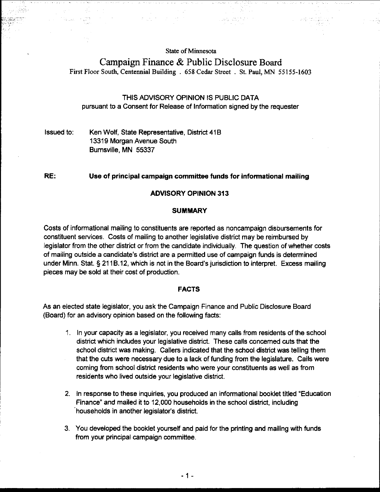#### **State of Minnesota**

# **Campaign Finance** & **Public Disclosure** Board **First Floor South, Centennial Building** . **658 Cedar Street** . **St. Paul, MN 55155-1603**

### THIS ADVISORY OPINION IS PUBLIC DATA pursuant to a Consent for Release of Information signed by the requester

### Issued to: Ken Wolf, State Representative, District 41B 13319 Morgan Avenue South Burnsville. MN 55337

#### RE: Use of principal campaign committee funds for informational mailing

#### ADVISORY OPINION 313

#### **SUMMARY**

Costs of informational mailing to constituents are reported as noncampaign disbursements for constituent services. Costs of mailing to another legislative district may be reimbursed by legislator from the other district or from the candidate individually. The question of whether costs of mailing outside a candidate's district are a permitted use of campaign funds is determined under Minn. Stat. § 21 16.12, which is not in the Board's jurisdiction to interpret. Excess mailing pieces may be sold at their cost of production.

#### FACTS

As an elected state legislator, you ask the Campaign Finance and Public Disclosure Board (Board) for an advisory opinion based on the following facts:

- 1. In your capacity as a legislator, you received many calls from residents of the school district which includes your legislative district. These calls concerned cuts that the school district was making. Callers indicated that the school district was telling them that the cuts were necessary due to a lack of funding from the legislature. Calls were coming from school district residents who were your constituents as well as from residents who lived outside your legislative district.
- 2. In response to these inquiries, you produced an informational booklet titled 'Education Finance" and mailed it to 12,000 households in the school district, including 'households in another legislator's district.
- 3. You developed the booklet yourself and paid for the printing and mailing with funds from your principal campaign committee.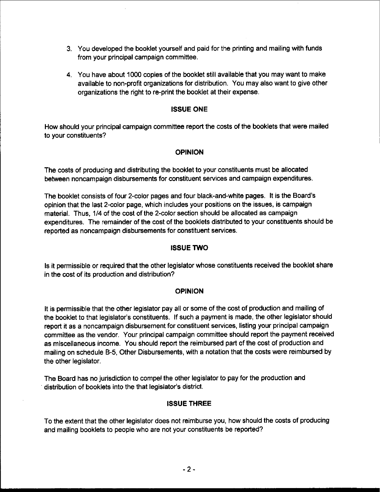- 3. You developed the booklet yourself and paid for the printing and mailing with funds from your principal campaign committee.
- 4. You have about 1000 copies of the booklet still available that you may want to make available to non-profit organizations for distribution. You may also want to give other organizations the right to re-print the booklet at their expense.

## ISSUE ONE

How should your principal campaign committee report the costs of the booklets that were mailed to your constituents?

## OPINION

The costs of producing and distributing the booklet to your constituents must be allocated between noncampaign disbursements for constituent services and campaign expenditures.

The booklet consists of four 2-color pages and four black-and-white pages. It is the Board's opinion that the last 2-color page, which includes your positions on the issues, is campaign material. Thus, 114 of the cost of the 2-color section should be allocated as campaign expenditures. The remainder of the cost of the booklets distributed to your constituents should be reported as noncampaign disbursements for constituent services.

## ISSUE TWO

Is it permissible or required that the other legislator whose constituents received the booklet share in the cost of its production and distribution?

### **OPINION**

It is permissible that the other legislator pay all or some of the cost of production and mailing of the booklet to that legislator's constituents. If such a payment is made, the other legislator should report it as a noncampaign disbursement for constituent services, listing your principal campaign committee as the vendor. Your principal campaign committee should report the payment received as miscellaneous income. You should report the reimbursed part of the cost of production and mailing on schedule **8-5,** Other Disbursements, with a notation that the costs were reimbursed by the other legislator.

The Board has no jurisdiction to compel the other legislator to pay for the production and distribution of booklets into the that legislator's district.

# ISSUE THREE

To the extent that the other legislator does not reimburse you, how should the costs of producing and mailing booklets to people who are not your constituents be reported?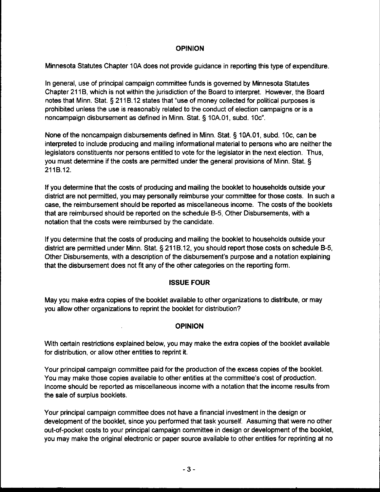## **OPINION**

Minnesota Statutes Chapter 10A does not provide guidance in reporting this type of expenditure.

In general, use of principal campaign committee funds is governed by Minnesota Statutes Chapter 21 IB, which is not within the jurisdiction of the Board to interpret. However, the Board notes that Minn. Stat. **5** 21 18.12 states that "use of money collected for political purposes is prohibited unless the use is reasonably related to the conduct of election campaigns or is a noncampaign disbursement as defined in Minn. Stat. **5** 10A.01, subd. 10c".

None of the noncampaign disbursements defined in Minn. Stat. **5** 10A.O1, subd. IOc, can be interpreted to include producing and mailing informational material to persons who are neither the legislators constituents nor persons entitled to vote for the legislator in the next election. Thus, you must determine if the costs are permitted under the general provisions of Minn. Stat. **5**  211B.12.

If you determine that the costs of producing and mailing the booklet to households outside your district are not permitted, you may personally reimburse your committee for those costs. In such a case, the reimbursement should be reported as miscellaneous income. The costs of the booklets that are reimbursed should be reported on the schedule B-5, Other Disbursements, with a notation that the costs were reimbursed by the candidate.

If you determine that the costs of producing and mailing the booklet to households outside your district are permitted under Minn. Stat. **5** 21 18.12, you should report those costs on schedule B-5, Other Disbursements, with a description of the disbursement's purpose and a notation explaining that the disbursement does not fit any of the other categories on the reporting form.

# ISSUE FOUR

May you make extra copies of the booklet available to other organizations to distribute, or may you allow other organizations to reprint the booklet for distribution?

# **OPINION**

With certain restrictions explained below, you may make the extra copies of the booklet available for distribution, or allow other entities to reprint it.

Your principal campaign committee paid for the production of the excess copies of the booklet. You may make those copies available to other entities at the committee's cost of production. Income should be reported as miscellaneous income with a notation that the income results from the sale of surplus booklets.

Your principal campaign committee does not have a financial investment in the design or development of the booklet, since you performed that task yourself. Assuming that were no other out-of-pocket costs to your principal campaign committee in design or development of the booklet, you may make the original electronic or paper source available to other entities for reprinting at no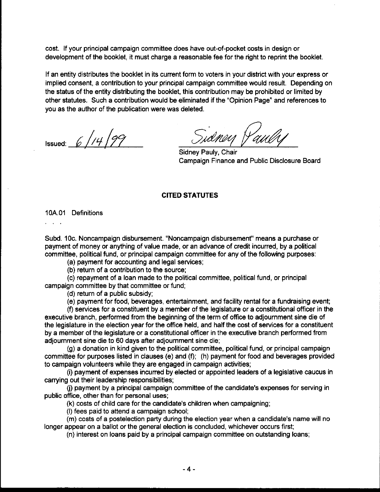cost. If your principal campaign committee does have out-of-pocket costs in design or development of the booklet, it must charge a reasonable fee for the right to reprint the booklet.

If an entity distributes the booklet in its current form to voters in your district with your express or implied consent, a contribution to your principal campaign committee would result. Depending on the status of the entity distributing the booklet, this contribution may be prohibited or limited by other statutes. Such a contribution would be eliminated if the "Opinion Page" and references to you as the author of the publication were was deleted.

Issued:  $6$  //4 /99

Sidney Pauly

Sidney Pauly, Chair Campaign Finance and Public Disclosure Board

#### **CITED STATUTES**

10A.O1 Definitions

 $\sim$   $\sim$ 

Subd. 10c. Noncampaign disbursement. "Noncampaign disbursement" means a purchase or payment of money or anything of value made, or an advance of credit incurred, by a political committee, political fund, or principal campaign committee for any of the following purposes:

(a) payment for accounting and legal services;

(b) return of a contribution to the source;

(c) repayment of a loan made to the political committee, political fund, or principal campaign committee by that committee or fund;

(d) return of a public subsidy;

(e) payment for food, beverages, entertainment, and facility rental for a fundraising event;

(f) services for a constituent by a member of the legislature or a constitutional officer in the executive branch, performed from the beginning of the term of office to adjournment sine die of the legislature in the election year for the office held, and half the cost of services for a constituent by a member of the legislature or a constiutional officer in the executive branch performed from adjoumment sine die to 60 days after adjoumment sine die;

(g) a donation in kind given to the political committee, political fund, or principal campaign committee for purposes listed in clauses (e) and (f); (h) payment for food and beverages provided to campaign volunteers while they are engaged in campaign activities;

(i) payment of expenses incurred by elected or appointed leaders of a legislative caucus in carrying out their leadership responsibilities;

(i) payment by a principal campaign committee of the candidate's expenses for serving in public office, other than for personal uses;

(k) costs of child care for the candidate's children when campaigning;

(I) fees paid to attend a campaign school;

(m) costs of a postelection party during the election year when a candidate's name will no longer appear on a ballot or the general election is concluded, whichever occurs first;

(n) interest on loans paid by a principal campaign committee on outstanding loans;